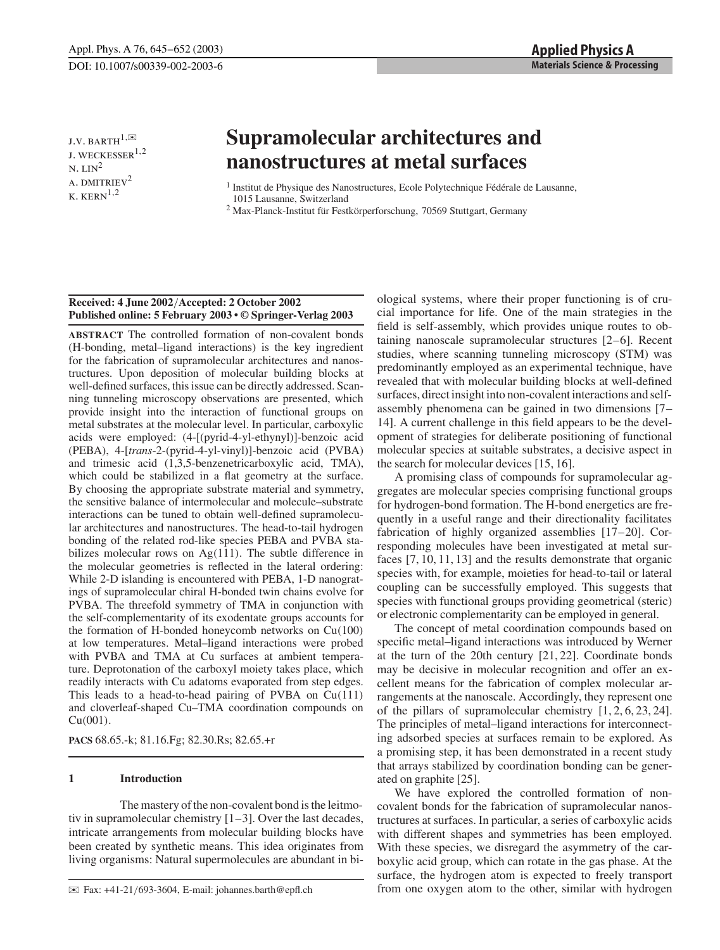J.V. BARTH $^{1,\boxtimes}$ J. WECKESSER $^{1,2}$  $N.$  LIN<sup>2</sup> A. DMITRIEV<sup>2</sup>  $K.$  KERN $^{1,2}$ 

# **Supramolecular architectures and nanostructures at metal surfaces**

<sup>1</sup> Institut de Physique des Nanostructures, Ecole Polytechnique Fédérale de Lausanne, 1015 Lausanne, Switzerland

<sup>2</sup> Max-Planck-Institut für Festkörperforschung, 70569 Stuttgart, Germany

## **Received: 4 June 2002**/**Accepted: 2 October 2002 Published online: 5 February 2003 • © Springer-Verlag 2003**

**ABSTRACT** The controlled formation of non-covalent bonds (H-bonding, metal–ligand interactions) is the key ingredient for the fabrication of supramolecular architectures and nanostructures. Upon deposition of molecular building blocks at well-defined surfaces, this issue can be directly addressed. Scanning tunneling microscopy observations are presented, which provide insight into the interaction of functional groups on metal substrates at the molecular level. In particular, carboxylic acids were employed: (4-[(pyrid-4-yl-ethynyl)]-benzoic acid (PEBA), 4-[*trans*-2-(pyrid-4-yl-vinyl)]-benzoic acid (PVBA) and trimesic acid (1,3,5-benzenetricarboxylic acid, TMA), which could be stabilized in a flat geometry at the surface. By choosing the appropriate substrate material and symmetry, the sensitive balance of intermolecular and molecule–substrate interactions can be tuned to obtain well-defined supramolecular architectures and nanostructures. The head-to-tail hydrogen bonding of the related rod-like species PEBA and PVBA stabilizes molecular rows on Ag(111). The subtle difference in the molecular geometries is reflected in the lateral ordering: While 2-D islanding is encountered with PEBA, 1-D nanogratings of supramolecular chiral H-bonded twin chains evolve for PVBA. The threefold symmetry of TMA in conjunction with the self-complementarity of its exodentate groups accounts for the formation of H-bonded honeycomb networks on  $Cu(100)$ at low temperatures. Metal–ligand interactions were probed with PVBA and TMA at Cu surfaces at ambient temperature. Deprotonation of the carboxyl moiety takes place, which readily interacts with Cu adatoms evaporated from step edges. This leads to a head-to-head pairing of PVBA on  $Cu(111)$ and cloverleaf-shaped Cu–TMA coordination compounds on Cu(001).

**PACS** 68.65.-k; 81.16.Fg; 82.30.Rs; 82.65.+r

#### **1 Introduction**

The mastery of the non-covalent bond is the leitmotiv in supramolecular chemistry [1–3]. Over the last decades, intricate arrangements from molecular building blocks have been created by synthetic means. This idea originates from living organisms: Natural supermolecules are abundant in biological systems, where their proper functioning is of crucial importance for life. One of the main strategies in the field is self-assembly, which provides unique routes to obtaining nanoscale supramolecular structures [2–6]. Recent studies, where scanning tunneling microscopy (STM) was predominantly employed as an experimental technique, have revealed that with molecular building blocks at well-defined surfaces, direct insight into non-covalent interactions and selfassembly phenomena can be gained in two dimensions [7– 14]. A current challenge in this field appears to be the development of strategies for deliberate positioning of functional molecular species at suitable substrates, a decisive aspect in the search for molecular devices [15, 16].

A promising class of compounds for supramolecular aggregates are molecular species comprising functional groups for hydrogen-bond formation. The H-bond energetics are frequently in a useful range and their directionality facilitates fabrication of highly organized assemblies [17–20]. Corresponding molecules have been investigated at metal surfaces [7, 10, 11, 13] and the results demonstrate that organic species with, for example, moieties for head-to-tail or lateral coupling can be successfully employed. This suggests that species with functional groups providing geometrical (steric) or electronic complementarity can be employed in general.

The concept of metal coordination compounds based on specific metal–ligand interactions was introduced by Werner at the turn of the 20th century [21, 22]. Coordinate bonds may be decisive in molecular recognition and offer an excellent means for the fabrication of complex molecular arrangements at the nanoscale. Accordingly, they represent one of the pillars of supramolecular chemistry [1, 2, 6, 23, 24]. The principles of metal–ligand interactions for interconnecting adsorbed species at surfaces remain to be explored. As a promising step, it has been demonstrated in a recent study that arrays stabilized by coordination bonding can be generated on graphite [25].

We have explored the controlled formation of noncovalent bonds for the fabrication of supramolecular nanostructures at surfaces. In particular, a series of carboxylic acids with different shapes and symmetries has been employed. With these species, we disregard the asymmetry of the carboxylic acid group, which can rotate in the gas phase. At the surface, the hydrogen atom is expected to freely transport from one oxygen atom to the other, similar with hydrogen

 $\boxtimes$  Fax: +41-21/693-3604, E-mail: johannes.barth@epfl.ch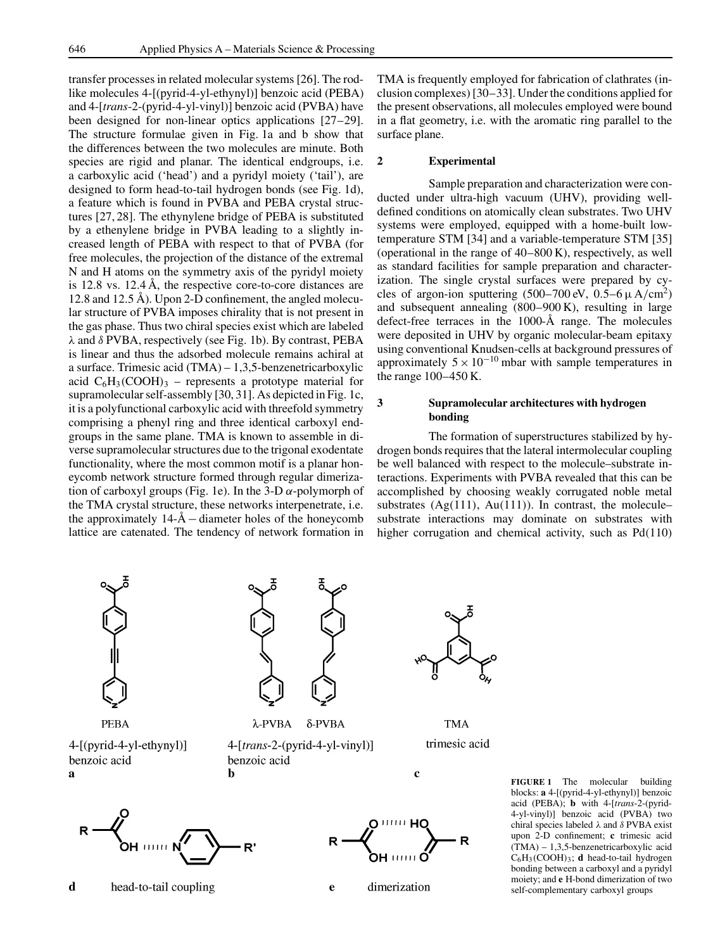transfer processes in related molecular systems [26]. The rodlike molecules 4-[(pyrid-4-yl-ethynyl)] benzoic acid (PEBA) and 4-[*trans*-2-(pyrid-4-yl-vinyl)] benzoic acid (PVBA) have been designed for non-linear optics applications [27–29]. The structure formulae given in Fig. 1a and b show that the differences between the two molecules are minute. Both species are rigid and planar. The identical endgroups, i.e. a carboxylic acid ('head') and a pyridyl moiety ('tail'), are designed to form head-to-tail hydrogen bonds (see Fig. 1d), a feature which is found in PVBA and PEBA crystal structures [27, 28]. The ethynylene bridge of PEBA is substituted by a ethenylene bridge in PVBA leading to a slightly increased length of PEBA with respect to that of PVBA (for free molecules, the projection of the distance of the extremal N and H atoms on the symmetry axis of the pyridyl moiety is 12.8 vs. 12.4 Å, the respective core-to-core distances are 12.8 and 12.5 Å). Upon 2-D confinement, the angled molecular structure of PVBA imposes chirality that is not present in the gas phase. Thus two chiral species exist which are labeled  $\lambda$  and  $\delta$  PVBA, respectively (see Fig. 1b). By contrast, PEBA is linear and thus the adsorbed molecule remains achiral at a surface. Trimesic acid (TMA) – 1,3,5-benzenetricarboxylic acid  $C_6H_3(COOH)_3$  – represents a prototype material for supramolecular self-assembly [30, 31]. As depicted in Fig. 1c, it is a polyfunctional carboxylic acid with threefold symmetry comprising a phenyl ring and three identical carboxyl endgroups in the same plane. TMA is known to assemble in diverse supramolecular structures due to the trigonal exodentate functionality, where the most common motif is a planar honeycomb network structure formed through regular dimerization of carboxyl groups (Fig. 1e). In the 3-D  $\alpha$ -polymorph of the TMA crystal structure, these networks interpenetrate, i.e. the approximately 14-Å−diameter holes of the honeycomb lattice are catenated. The tendency of network formation in TMA is frequently employed for fabrication of clathrates (inclusion complexes) [30–33]. Under the conditions applied for the present observations, all molecules employed were bound in a flat geometry, i.e. with the aromatic ring parallel to the surface plane.

#### **2 Experimental**

Sample preparation and characterization were conducted under ultra-high vacuum (UHV), providing welldefined conditions on atomically clean substrates. Two UHV systems were employed, equipped with a home-built lowtemperature STM [34] and a variable-temperature STM [35] (operational in the range of 40–800 K), respectively, as well as standard facilities for sample preparation and characterization. The single crystal surfaces were prepared by cycles of argon-ion sputtering  $(500-700 \text{ eV}, 0.5-6 \mu \text{ A/cm}^2)$ and subsequent annealing (800–900 K), resulting in large defect-free terraces in the 1000-Å range. The molecules were deposited in UHV by organic molecular-beam epitaxy using conventional Knudsen-cells at background pressures of approximately  $5 \times 10^{-10}$  mbar with sample temperatures in the range 100–450 K.

## **3 Supramolecular architectures with hydrogen bonding**

The formation of superstructures stabilized by hydrogen bonds requires that the lateral intermolecular coupling be well balanced with respect to the molecule–substrate interactions. Experiments with PVBA revealed that this can be accomplished by choosing weakly corrugated noble metal substrates  $(Ag(111), Au(111))$ . In contrast, the molecule– substrate interactions may dominate on substrates with higher corrugation and chemical activity, such as Pd(110)



**PEBA** 

4-[(pyrid-4-yl-ethynyl)] benzoic acid  $\overline{a}$ 



 $\lambda$ -PVBA  $\delta$ -PVBA

4-[trans-2-(pyrid-4-yl-vinyl)] benzoic acid

Ь



**TMA** trimesic acid

R

 $\mathbf c$ 



**FIGURE 1** The molecular building blocks: **a** 4-[(pyrid-4-yl-ethynyl)] benzoic acid (PEBA); **b** with 4-[*trans*-2-(pyrid-4-yl-vinyl)] benzoic acid (PVBA) two chiral species labeled  $\lambda$  and  $\delta$  PVBA exist upon 2-D confinement; **c** trimesic acid (TMA) – 1,3,5-benzenetricarboxylic acid C6H3(COOH)3; **d** head-to-tail hydrogen bonding between a carboxyl and a pyridyl moiety; and **e** H-bond dimerization of two self-complementary carboxyl groups

d head-to-tail coupling

 $111111$ 

 $\mathbf{e}$ 

dimerization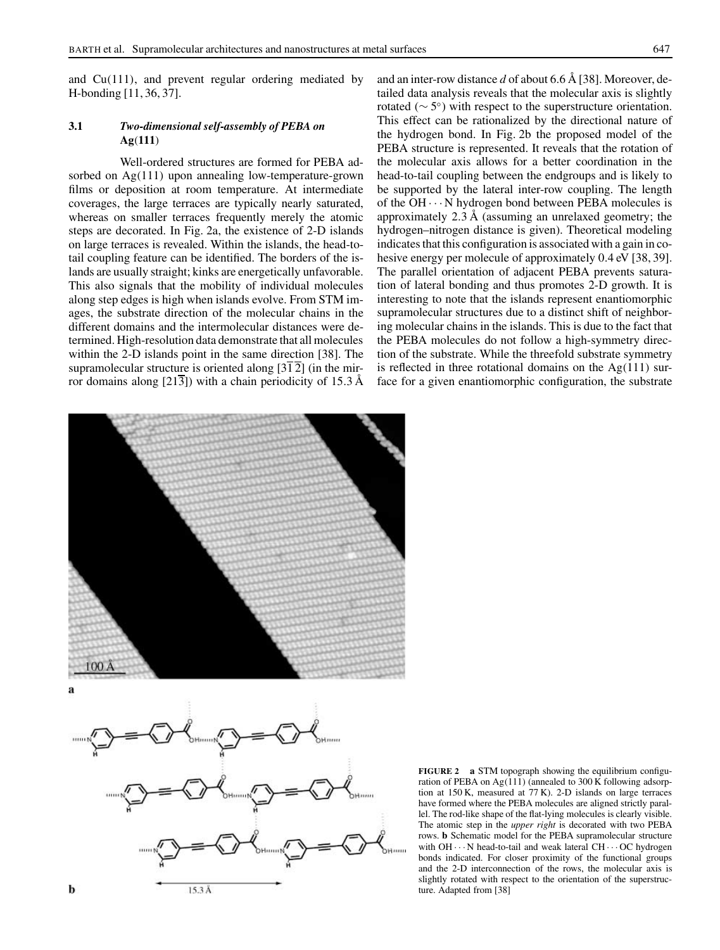and Cu(111), and prevent regular ordering mediated by H-bonding [11, 36, 37].

## **3.1** *Two-dimensional self-assembly of PEBA on* **Ag**(**111**)

Well-ordered structures are formed for PEBA adsorbed on Ag(111) upon annealing low-temperature-grown films or deposition at room temperature. At intermediate coverages, the large terraces are typically nearly saturated, whereas on smaller terraces frequently merely the atomic steps are decorated. In Fig. 2a, the existence of 2-D islands on large terraces is revealed. Within the islands, the head-totail coupling feature can be identified. The borders of the islands are usually straight; kinks are energetically unfavorable. This also signals that the mobility of individual molecules along step edges is high when islands evolve. From STM images, the substrate direction of the molecular chains in the different domains and the intermolecular distances were determined. High-resolution data demonstrate that all molecules within the 2-D islands point in the same direction [38]. The supramolecular structure is oriented along  $[3\overline{1}2]$  (in the mirror domains along  $[21\overline{3}]$ ) with a chain periodicity of 15.3 Å and an inter-row distance *d* of about 6.6 Å [38]. Moreover, detailed data analysis reveals that the molecular axis is slightly rotated ( $\sim$  5 $^{\circ}$ ) with respect to the superstructure orientation. This effect can be rationalized by the directional nature of the hydrogen bond. In Fig. 2b the proposed model of the PEBA structure is represented. It reveals that the rotation of the molecular axis allows for a better coordination in the head-to-tail coupling between the endgroups and is likely to be supported by the lateral inter-row coupling. The length of the  $OH \cdots N$  hydrogen bond between PEBA molecules is approximately 2.3 Å (assuming an unrelaxed geometry; the hydrogen–nitrogen distance is given). Theoretical modeling indicates that this configuration is associated with a gain in cohesive energy per molecule of approximately 0.4 eV [38, 39]. The parallel orientation of adjacent PEBA prevents saturation of lateral bonding and thus promotes 2-D growth. It is interesting to note that the islands represent enantiomorphic supramolecular structures due to a distinct shift of neighboring molecular chains in the islands. This is due to the fact that the PEBA molecules do not follow a high-symmetry direction of the substrate. While the threefold substrate symmetry is reflected in three rotational domains on the  $Ag(111)$  surface for a given enantiomorphic configuration, the substrate





**FIGURE 2 a** STM topograph showing the equilibrium configuration of PEBA on  $Ag(111)$  (annealed to 300 K following adsorption at 150 K, measured at 77 K). 2-D islands on large terraces have formed where the PEBA molecules are aligned strictly parallel. The rod-like shape of the flat-lying molecules is clearly visible. The atomic step in the *upper right* is decorated with two PEBA rows. **b** Schematic model for the PEBA supramolecular structure with  $OH \cdots N$  head-to-tail and weak lateral  $CH \cdots OC$  hydrogen bonds indicated. For closer proximity of the functional groups and the 2-D interconnection of the rows, the molecular axis is slightly rotated with respect to the orientation of the superstructure. Adapted from [38]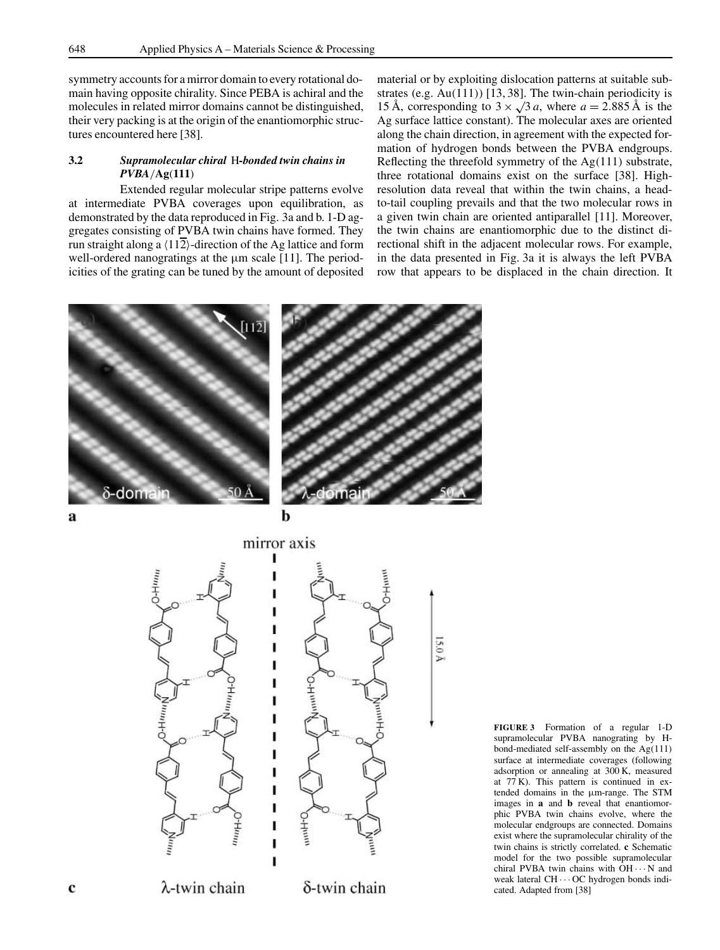symmetry accounts for a mirror domain to every rotational domain having opposite chirality. Since PEBA is achiral and the molecules in related mirror domains cannot be distinguished, their very packing is at the origin of the enantiomorphic structures encountered here [38].

## **3.2** *Supramolecular chiral* H*-bonded twin chains in PVBA*/**Ag**(**111**)

Extended regular molecular stripe patterns evolve at intermediate PVBA coverages upon equilibration, as demonstrated by the data reproduced in Fig. 3a and b. 1-D aggregates consisting of PVBA twin chains have formed. They run straight along a  $\langle 11\overline{2} \rangle$ -direction of the Ag lattice and form well-ordered nanogratings at the  $\mu$ m scale [11]. The periodicities of the grating can be tuned by the amount of deposited material or by exploiting dislocation patterns at suitable substrates (e.g. Au(111)) [13, 38]. The twin-chain periodicity is 15 Å, corresponding to  $3 \times \sqrt{3} a$ , where  $a = 2.885$  Å is the Ag surface lattice constant). The molecular axes are oriented along the chain direction, in agreement with the expected formation of hydrogen bonds between the PVBA endgroups. Reflecting the threefold symmetry of the Ag(111) substrate, three rotational domains exist on the surface [38]. Highresolution data reveal that within the twin chains, a headto-tail coupling prevails and that the two molecular rows in a given twin chain are oriented antiparallel [11]. Moreover, the twin chains are enantiomorphic due to the distinct directional shift in the adjacent molecular rows. For example, in the data presented in Fig. 3a it is always the left PVBA row that appears to be displaced in the chain direction. It



a



**FIGURE 3** Formation of a regular 1-D supramolecular PVBA nanograting by Hbond-mediated self-assembly on the Ag(111) surface at intermediate coverages (following adsorption or annealing at 300 K, measured at  $77$  K). This pattern is continued in extended domains in the µm-range. The STM images in **a** and **b** reveal that enantiomorphic PVBA twin chains evolve, where the molecular endgroups are connected. Domains exist where the supramolecular chirality of the twin chains is strictly correlated. **c** Schematic model for the two possible supramolecular chiral PVBA twin chains with OH ··· N and weak lateral CH ··· OC hydrogen bonds indicated. Adapted from [38]

15.0 A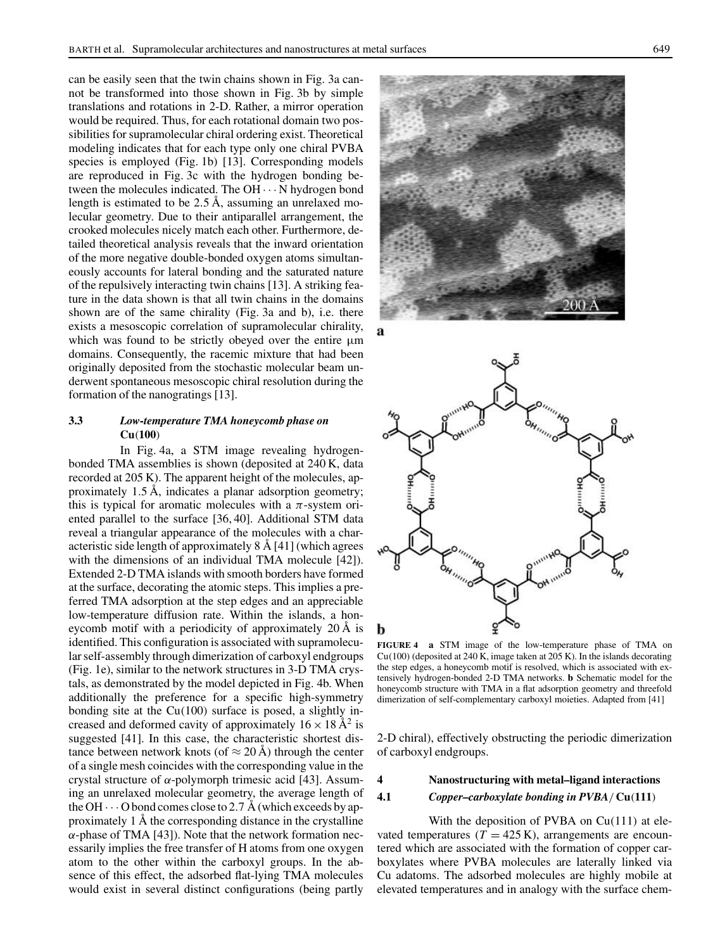can be easily seen that the twin chains shown in Fig. 3a cannot be transformed into those shown in Fig. 3b by simple translations and rotations in 2-D. Rather, a mirror operation would be required. Thus, for each rotational domain two possibilities for supramolecular chiral ordering exist. Theoretical modeling indicates that for each type only one chiral PVBA species is employed (Fig. 1b) [13]. Corresponding models are reproduced in Fig. 3c with the hydrogen bonding between the molecules indicated. The  $OH \cdots N$  hydrogen bond length is estimated to be 2.5 Å, assuming an unrelaxed molecular geometry. Due to their antiparallel arrangement, the crooked molecules nicely match each other. Furthermore, detailed theoretical analysis reveals that the inward orientation of the more negative double-bonded oxygen atoms simultaneously accounts for lateral bonding and the saturated nature of the repulsively interacting twin chains [13]. A striking feature in the data shown is that all twin chains in the domains shown are of the same chirality (Fig. 3a and b), i.e. there exists a mesoscopic correlation of supramolecular chirality, which was found to be strictly obeyed over the entire  $\mu$ m domains. Consequently, the racemic mixture that had been originally deposited from the stochastic molecular beam underwent spontaneous mesoscopic chiral resolution during the formation of the nanogratings [13].

## **3.3** *Low-temperature TMA honeycomb phase on* **Cu**(**100**)

In Fig. 4a, a STM image revealing hydrogenbonded TMA assemblies is shown (deposited at 240 K, data recorded at 205 K). The apparent height of the molecules, approximately 1.5 Å, indicates a planar adsorption geometry; this is typical for aromatic molecules with a  $\pi$ -system oriented parallel to the surface [36, 40]. Additional STM data reveal a triangular appearance of the molecules with a characteristic side length of approximately 8 Å [41] (which agrees with the dimensions of an individual TMA molecule [42]). Extended 2-D TMA islands with smooth borders have formed at the surface, decorating the atomic steps. This implies a preferred TMA adsorption at the step edges and an appreciable low-temperature diffusion rate. Within the islands, a honeycomb motif with a periodicity of approximately 20 Å is identified. This configuration is associated with supramolecular self-assembly through dimerization of carboxyl endgroups (Fig. 1e), similar to the network structures in 3-D TMA crystals, as demonstrated by the model depicted in Fig. 4b. When additionally the preference for a specific high-symmetry bonding site at the Cu(100) surface is posed, a slightly increased and deformed cavity of approximately  $16 \times 18 \text{ Å}^2$  is suggested [41]. In this case, the characteristic shortest distance between network knots (of  $\approx 20 \text{ Å}$ ) through the center of a single mesh coincides with the corresponding value in the crystal structure of  $\alpha$ -polymorph trimesic acid [43]. Assuming an unrelaxed molecular geometry, the average length of the OH  $\cdots$  O bond comes close to 2.7 Å (which exceeds by approximately 1 Å the corresponding distance in the crystalline  $\alpha$ -phase of TMA [43]). Note that the network formation necessarily implies the free transfer of H atoms from one oxygen atom to the other within the carboxyl groups. In the absence of this effect, the adsorbed flat-lying TMA molecules would exist in several distinct configurations (being partly





**FIGURE 4 a** STM image of the low-temperature phase of TMA on Cu(100) (deposited at 240 K, image taken at 205 K). In the islands decorating the step edges, a honeycomb motif is resolved, which is associated with extensively hydrogen-bonded 2-D TMA networks. **b** Schematic model for the honeycomb structure with TMA in a flat adsorption geometry and threefold dimerization of self-complementary carboxyl moieties. Adapted from [41]

2-D chiral), effectively obstructing the periodic dimerization of carboxyl endgroups.

#### **4 Nanostructuring with metal–ligand interactions**

### **4.1** *Copper–carboxylate bonding in PVBA*/ **Cu**(**111**)

With the deposition of PVBA on Cu(111) at elevated temperatures  $(T = 425 \text{ K})$ , arrangements are encountered which are associated with the formation of copper carboxylates where PVBA molecules are laterally linked via Cu adatoms. The adsorbed molecules are highly mobile at elevated temperatures and in analogy with the surface chem-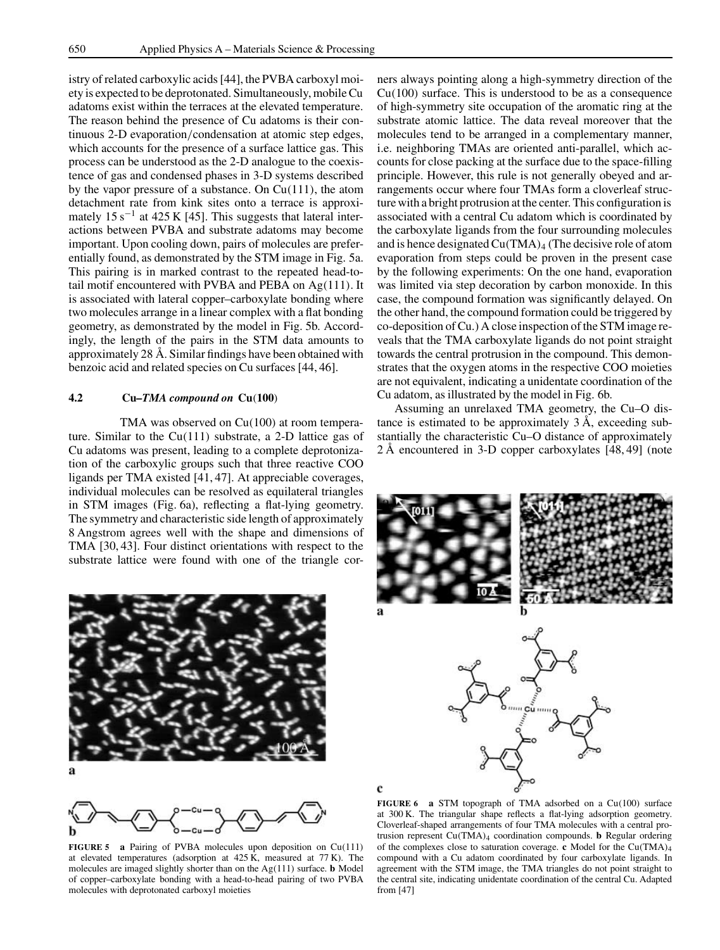istry of related carboxylic acids [44], the PVBA carboxyl moiety is expected to be deprotonated. Simultaneously, mobileCu adatoms exist within the terraces at the elevated temperature. The reason behind the presence of Cu adatoms is their continuous 2-D evaporation/condensation at atomic step edges, which accounts for the presence of a surface lattice gas. This process can be understood as the 2-D analogue to the coexistence of gas and condensed phases in 3-D systems described by the vapor pressure of a substance. On Cu(111), the atom detachment rate from kink sites onto a terrace is approximately 15 s<sup>-1</sup> at 425 K [45]. This suggests that lateral interactions between PVBA and substrate adatoms may become important. Upon cooling down, pairs of molecules are preferentially found, as demonstrated by the STM image in Fig. 5a. This pairing is in marked contrast to the repeated head-totail motif encountered with PVBA and PEBA on Ag(111). It is associated with lateral copper–carboxylate bonding where two molecules arrange in a linear complex with a flat bonding geometry, as demonstrated by the model in Fig. 5b. Accordingly, the length of the pairs in the STM data amounts to approximately 28 Å. Similar findings have been obtained with benzoic acid and related species on Cu surfaces [44, 46].

#### **4.2 Cu***–TMA compound on* **Cu**(**100**)

TMA was observed on Cu(100) at room temperature. Similar to the Cu(111) substrate, a 2-D lattice gas of Cu adatoms was present, leading to a complete deprotonization of the carboxylic groups such that three reactive COO ligands per TMA existed [41, 47]. At appreciable coverages, individual molecules can be resolved as equilateral triangles in STM images (Fig. 6a), reflecting a flat-lying geometry. The symmetry and characteristic side length of approximately 8 Angstrom agrees well with the shape and dimensions of TMA [30, 43]. Four distinct orientations with respect to the substrate lattice were found with one of the triangle cor-



**FIGURE 5 a** Pairing of PVBA molecules upon deposition on Cu(111) at elevated temperatures (adsorption at  $425 \text{ K}$ , measured at  $77 \text{ K}$ ). The molecules are imaged slightly shorter than on the Ag(111) surface. **b** Model of copper–carboxylate bonding with a head-to-head pairing of two PVBA molecules with deprotonated carboxyl moieties

ners always pointing along a high-symmetry direction of the  $Cu(100)$  surface. This is understood to be as a consequence of high-symmetry site occupation of the aromatic ring at the substrate atomic lattice. The data reveal moreover that the molecules tend to be arranged in a complementary manner, i.e. neighboring TMAs are oriented anti-parallel, which accounts for close packing at the surface due to the space-filling principle. However, this rule is not generally obeyed and arrangements occur where four TMAs form a cloverleaf structure with a bright protrusion at the center. This configuration is associated with a central Cu adatom which is coordinated by the carboxylate ligands from the four surrounding molecules and is hence designated  $Cu(TMA)<sub>4</sub>$  (The decisive role of atom evaporation from steps could be proven in the present case by the following experiments: On the one hand, evaporation was limited via step decoration by carbon monoxide. In this case, the compound formation was significantly delayed. On the other hand, the compound formation could be triggered by co-deposition ofCu.) A close inspection of the STM image reveals that the TMA carboxylate ligands do not point straight towards the central protrusion in the compound. This demonstrates that the oxygen atoms in the respective COO moieties are not equivalent, indicating a unidentate coordination of the Cu adatom, as illustrated by the model in Fig. 6b.

Assuming an unrelaxed TMA geometry, the Cu–O distance is estimated to be approximately 3 Å, exceeding substantially the characteristic Cu–O distance of approximately 2 Å encountered in 3-D copper carboxylates [48, 49] (note







c

**FIGURE 6 a** STM topograph of TMA adsorbed on a Cu(100) surface at 300 K. The triangular shape reflects a flat-lying adsorption geometry. Cloverleaf-shaped arrangements of four TMA molecules with a central protrusion represent Cu(TMA)<sup>4</sup> coordination compounds. **b** Regular ordering of the complexes close to saturation coverage. **c** Model for the Cu(TMA)<sup>4</sup> compound with a Cu adatom coordinated by four carboxylate ligands. In agreement with the STM image, the TMA triangles do not point straight to the central site, indicating unidentate coordination of the central Cu. Adapted from [47]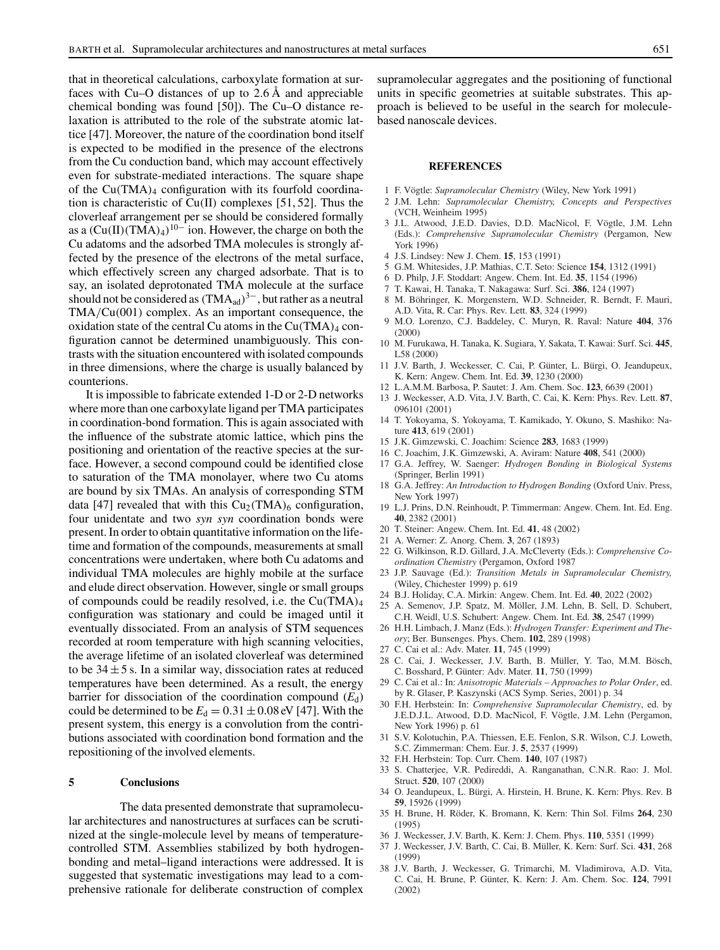that in theoretical calculations, carboxylate formation at surfaces with Cu–O distances of up to 2.6 Å and appreciable chemical bonding was found [50]). The Cu–O distance relaxation is attributed to the role of the substrate atomic lattice [47]. Moreover, the nature of the coordination bond itself is expected to be modified in the presence of the electrons from the Cu conduction band, which may account effectively even for substrate-mediated interactions. The square shape of the  $Cu(TMA)<sub>4</sub>$  configuration with its fourfold coordination is characteristic of Cu(II) complexes [51, 52]. Thus the cloverleaf arrangement per se should be considered formally as a  $(Cu(II)(TMA)<sub>4</sub>)<sup>10–</sup>$  ion. However, the charge on both the Cu adatoms and the adsorbed TMA molecules is strongly affected by the presence of the electrons of the metal surface, which effectively screen any charged adsorbate. That is to say, an isolated deprotonated TMA molecule at the surface should not be considered as  $(TMA_{ad})^{3-}$ , but rather as a neutral TMA/Cu(001) complex. As an important consequence, the oxidation state of the central Cu atoms in the  $Cu(TMA)<sub>4</sub>$  configuration cannot be determined unambiguously. This contrasts with the situation encountered with isolated compounds in three dimensions, where the charge is usually balanced by counterions.

It is impossible to fabricate extended 1-D or 2-D networks where more than one carboxylate ligand per TMA participates in coordination-bond formation. This is again associated with the influence of the substrate atomic lattice, which pins the positioning and orientation of the reactive species at the surface. However, a second compound could be identified close to saturation of the TMA monolayer, where two Cu atoms are bound by six TMAs. An analysis of corresponding STM data [47] revealed that with this  $Cu<sub>2</sub>(TMA)<sub>6</sub>$  configuration, four unidentate and two *syn syn* coordination bonds were present. In order to obtain quantitative information on the lifetime and formation of the compounds, measurements at small concentrations were undertaken, where both Cu adatoms and individual TMA molecules are highly mobile at the surface and elude direct observation. However, single or small groups of compounds could be readily resolved, i.e. the  $Cu(TMA)<sub>4</sub>$ configuration was stationary and could be imaged until it eventually dissociated. From an analysis of STM sequences recorded at room temperature with high scanning velocities, the average lifetime of an isolated cloverleaf was determined to be  $34 \pm 5$  s. In a similar way, dissociation rates at reduced temperatures have been determined. As a result, the energy barrier for dissociation of the coordination compound  $(E_d)$ could be determined to be  $E_d = 0.31 \pm 0.08$  eV [47]. With the present system, this energy is a convolution from the contributions associated with coordination bond formation and the repositioning of the involved elements.

#### **5 Conclusions**

The data presented demonstrate that supramolecular architectures and nanostructures at surfaces can be scrutinized at the single-molecule level by means of temperaturecontrolled STM. Assemblies stabilized by both hydrogenbonding and metal–ligand interactions were addressed. It is suggested that systematic investigations may lead to a comprehensive rationale for deliberate construction of complex supramolecular aggregates and the positioning of functional units in specific geometries at suitable substrates. This approach is believed to be useful in the search for moleculebased nanoscale devices.

#### **REFERENCES**

- 1 F. Vögtle: *Supramolecular Chemistry* (Wiley, New York 1991)
- 2 J.M. Lehn: *Supramolecular Chemistry, Concepts and Perspectives* (VCH, Weinheim 1995)
- 3 J.L. Atwood, J.E.D. Davies, D.D. MacNicol, F. Vögtle, J.M. Lehn (Eds.): *Comprehensive Supramolecular Chemistry* (Pergamon, New York 1996)
- 4 J.S. Lindsey: New J. Chem. **15**, 153 (1991)
- 5 G.M. Whitesides, J.P. Mathias, C.T. Seto: Science **154**, 1312 (1991)
- 6 D. Philp, J.F. Stoddart: Angew. Chem. Int. Ed. **35**, 1154 (1996)
- 7 T. Kawai, H. Tanaka, T. Nakagawa: Surf. Sci. **386**, 124 (1997)
- 8 M. Böhringer, K. Morgenstern, W.D. Schneider, R. Berndt, F. Mauri, A.D. Vita, R. Car: Phys. Rev. Lett. **83**, 324 (1999)
- 9 M.O. Lorenzo, C.J. Baddeley, C. Muryn, R. Raval: Nature **404**, 376 (2000)
- 10 M. Furukawa, H. Tanaka, K. Sugiara, Y. Sakata, T. Kawai: Surf. Sci. **445**, L58 (2000)
- 11 J.V. Barth, J. Weckesser, C. Cai, P. Günter, L. Bürgi, O. Jeandupeux, K. Kern: Angew. Chem. Int. Ed. **39**, 1230 (2000)
- 12 L.A.M.M. Barbosa, P. Sautet: J. Am. Chem. Soc. **123**, 6639 (2001)
- 13 J. Weckesser, A.D. Vita, J.V. Barth, C. Cai, K. Kern: Phys. Rev. Lett. **87**, 096101 (2001)
- 14 T. Yokoyama, S. Yokoyama, T. Kamikado, Y. Okuno, S. Mashiko: Nature **413**, 619 (2001)
- 15 J.K. Gimzewski, C. Joachim: Science **283**, 1683 (1999)
- 16 C. Joachim, J.K. Gimzewski, A. Aviram: Nature **408**, 541 (2000)
- 17 G.A. Jeffrey, W. Saenger: *Hydrogen Bonding in Biological Systems* (Springer, Berlin 1991)
- 18 G.A. Jeffrey: *An Introduction to Hydrogen Bonding* (Oxford Univ. Press, New York 1997)
- 19 L.J. Prins, D.N. Reinhoudt, P. Timmerman: Angew. Chem. Int. Ed. Eng. **40**, 2382 (2001)
- 20 T. Steiner: Angew. Chem. Int. Ed. **41**, 48 (2002)
- 21 A. Werner: Z. Anorg. Chem. **3**, 267 (1893)
- 22 G. Wilkinson, R.D. Gillard, J.A. McCleverty (Eds.): *Comprehensive Coordination Chemistry* (Pergamon, Oxford 1987
- 23 J.P. Sauvage (Ed.): *Transition Metals in Supramolecular Chemistry,* (Wiley, Chichester 1999) p. 619
- 24 B.J. Holiday, C.A. Mirkin: Angew. Chem. Int. Ed. **40**, 2022 (2002)
- 25 A. Semenov, J.P. Spatz, M. Möller, J.M. Lehn, B. Sell, D. Schubert, C.H. Weidl, U.S. Schubert: Angew. Chem. Int. Ed. **38**, 2547 (1999)
- 26 H.H. Limbach, J. Manz (Eds.): *Hydrogen Transfer: Experiment and Theory*; Ber. Bunsenges. Phys. Chem. **102**, 289 (1998)
- 27 C. Cai et al.: Adv. Mater. **11**, 745 (1999)
- 28 C. Cai, J. Weckesser, J.V. Barth, B. Müller, Y. Tao, M.M. Bösch, C. Bosshard, P. Günter: Adv. Mater. **11**, 750 (1999)
- 29 C. Cai et al.: In: *Anisotropic Materials Approaches to Polar Order*, ed. by R. Glaser, P. Kaszynski (ACS Symp. Series, 2001) p. 34
- 30 F.H. Herbstein: In: *Comprehensive Supramolecular Chemistry*, ed. by J.E.D.J.L. Atwood, D.D. MacNicol, F. Vögtle, J.M. Lehn (Pergamon, New York 1996) p. 61
- 31 S.V. Kolotuchin, P.A. Thiessen, E.E. Fenlon, S.R. Wilson, C.J. Loweth, S.C. Zimmerman: Chem. Eur. J. **5**, 2537 (1999)
- 32 F.H. Herbstein: Top. Curr. Chem. **140**, 107 (1987)
- 33 S. Chatterjee, V.R. Pedireddi, A. Ranganathan, C.N.R. Rao: J. Mol. Struct. **520**, 107 (2000)
- 34 O. Jeandupeux, L. Bürgi, A. Hirstein, H. Brune, K. Kern: Phys. Rev. B **59**, 15926 (1999)
- 35 H. Brune, H. Röder, K. Bromann, K. Kern: Thin Sol. Films **264**, 230 (1995)
- 36 J. Weckesser, J.V. Barth, K. Kern: J. Chem. Phys. **110**, 5351 (1999)
- 37 J. Weckesser, J.V. Barth, C. Cai, B. Müller, K. Kern: Surf. Sci. **431**, 268 (1999)
- 38 J.V. Barth, J. Weckesser, G. Trimarchi, M. Vladimirova, A.D. Vita, C. Cai, H. Brune, P. Günter, K. Kern: J. Am. Chem. Soc. **124**, 7991 (2002)